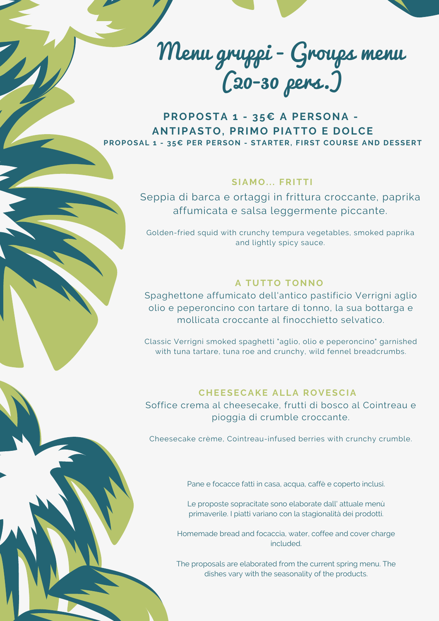

**PROPOSTA 1 - 35€ A PERSONA - ANTIPASTO, PRIMO PIATTO E DOLCE PROPOSAL 1 - 35€ PER PERSON - STARTER, FIRST COURSE AND DESSERT**

# **SIAMO. . . FRITTI**

Seppia di barca e ortaggi in frittura croccante, paprika affumicata e salsa leggermente piccante.

Golden-fried squid with crunchy tempura vegetables, smoked paprika and lightly spicy sauce.

### **A TUTTO TONNO**

Spaghettone affumicato dell'antico pastificio Verrigni aglio olio e peperoncino con tartare di tonno, la sua bottarga e mollicata croccante al finocchietto selvatico.

Classic Verrigni smoked spaghetti "aglio, olio e peperoncino" garnished with tuna tartare, tuna roe and crunchy, wild fennel breadcrumbs.

# **CHEESECAKE ALLA ROVESCIA**

Soffice crema al cheesecake, frutti di bosco al Cointreau e pioggia di crumble croccante.

Cheesecake crème, Cointreau-infused berries with crunchy crumble.

Pane e focacce fatti in casa, acqua, caffè e coperto inclusi.

Le proposte sopracitate sono elaborate dall' attuale menù primaverile. I piatti variano con la stagionalità dei prodotti.

Homemade bread and focaccia, water, coffee and cover charge included.

The proposals are elaborated from the current spring menu. The dishes vary with the seasonality of the products.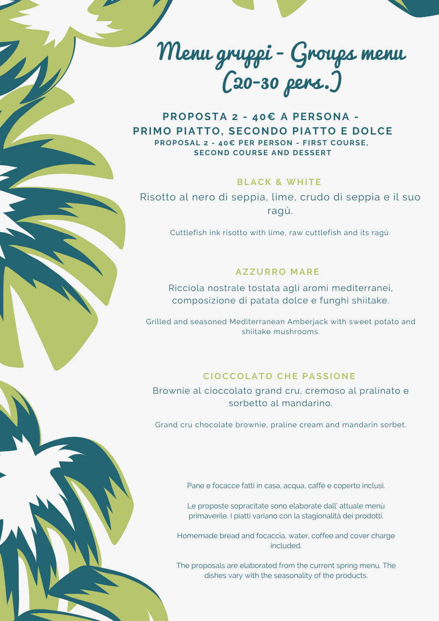

**PROPOSTA 2 - 40€ A PERSONA - PRIMO PIATTO, SECONDO PIATTO E DOLCE PROPOSAL 2 - 40€ PER PERSON - FIRST COURSE, SECOND COURSE AND DESSERT**

# **BLACK & WHITE**

Risotto al nero di seppia, lime, crudo di seppia e il suo ragú.

Cuttlefish ink risotto with lime, raw cuttlefish and its ragù.

## **AZZURRO MARE**

Ricciola nostrale tostata agli aromi mediterranei, composizione di patata dolce e funghi shiitake.

Grilled and seasoned Mediterranean Amberjack with sweet potato and shiitake mushrooms.

### **CIOCCOLATO CHE PASSIONE**

Brownie al cioccolato grand cru, cremoso al pralinato e sorbetto al mandarino.

Grand cru chocolate brownie, praline cream and mandarin sorbet.

Pane e focacce fatti in casa, acqua, caffè e coperto inclusi.

Le proposte sopracitate sono elaborate dall' attuale menù primaverile. I piatti variano con la stagionalità dei prodotti.

Homemade bread and focaccia, water, coffee and cover charge included.

The proposals are elaborated from the current spring menu. The dishes vary with the seasonality of the products.